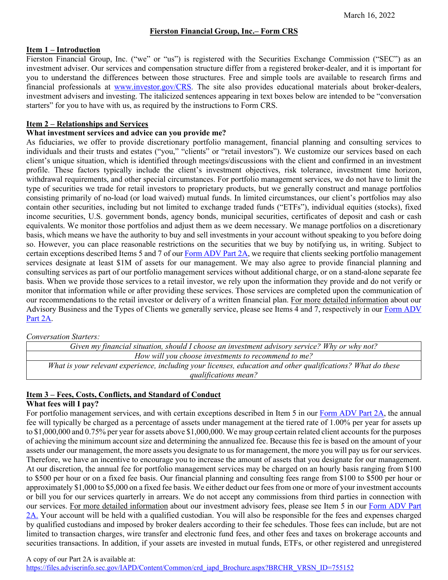# **Fierston Financial Group, Inc.– Form CRS**

#### **Item 1 – Introduction**

Fierston Financial Group, Inc. ("we" or "us") is registered with the Securities Exchange Commission ("SEC") as an investment adviser. Our services and compensation structure differ from a registered broker-dealer, and it is important for you to understand the differences between those structures. Free and simple tools are available to research firms and financial professionals at [www.investor.gov/CRS.](http://www.investor.gov/CRS) The site also provides educational materials about broker-dealers, investment advisers and investing. The italicized sentences appearing in text boxes below are intended to be "conversation starters" for you to have with us, as required by the instructions to Form CRS.

# **Item 2 – Relationships and Services**

# **What investment services and advice can you provide me?**

As fiduciaries, we offer to provide discretionary portfolio management, financial planning and consulting services to individuals and their trusts and estates ("you," "clients" or "retail investors"). We customize our services based on each client's unique situation, which is identified through meetings/discussions with the client and confirmed in an investment profile. These factors typically include the client's investment objectives, risk tolerance, investment time horizon, withdrawal requirements, and other special circumstances. For portfolio management services, we do not have to limit the type of securities we trade for retail investors to proprietary products, but we generally construct and manage portfolios consisting primarily of no-load (or load waived) mutual funds. In limited circumstances, our client's portfolios may also contain other securities, including but not limited to exchange traded funds ("ETFs"), individual equities (stocks), fixed income securities, U.S. government bonds, agency bonds, municipal securities, certificates of deposit and cash or cash equivalents. We monitor those portfolios and adjust them as we deem necessary. We manage portfolios on a discretionary basis, which means we have the authority to buy and sell investments in your account without speaking to you before doing so. However, you can place reasonable restrictions on the securities that we buy by notifying us, in writing. Subject to certain exceptions described Items 5 and 7 of ou[r Form ADV Part 2A,](https://files.adviserinfo.sec.gov/IAPD/Content/Common/crd_iapd_Brochure.aspx?BRCHR_VRSN_ID=755152) we require that clients seeking portfolio management services designate at least \$1M of assets for our management. We may also agree to provide financial planning and consulting services as part of our portfolio management services without additional charge, or on a stand-alone separate fee basis. When we provide those services to a retail investor, we rely upon the information they provide and do not verify or monitor that information while or after providing these services. Those services are completed upon the communication of our recommendations to the retail investor or delivery of a written financial plan. For more detailed information about our Advisory Business and the Types of Clients we generally service, please see Items 4 and 7, respectively in our Form ADV [Part 2A.](https://files.adviserinfo.sec.gov/IAPD/Content/Common/crd_iapd_Brochure.aspx?BRCHR_VRSN_ID=755152)

# *Conversation Starters:*

*Given my financial situation, should I choose an investment advisory service? Why or why not? How will you choose investments to recommend to me? What is your relevant experience, including your licenses, education and other qualifications? What do these qualifications mean?*

# **Item 3 – Fees, Costs, Conflicts, and Standard of Conduct**

# **What fees will I pay?**

For portfolio management services, and with certain exceptions described in Item 5 in our [Form ADV Part 2A,](https://files.adviserinfo.sec.gov/IAPD/Content/Common/crd_iapd_Brochure.aspx?BRCHR_VRSN_ID=755152) the annual fee will typically be charged as a percentage of assets under management at the tiered rate of 1.00% per year for assets up to \$1,000,000 and 0.75% per year for assets above \$1,000,000. We may group certain related client accounts for the purposes of achieving the minimum account size and determining the annualized fee. Because this fee is based on the amount of your assets under our management, the more assets you designate to us for management, the more you will pay us for our services. Therefore, we have an incentive to encourage you to increase the amount of assets that you designate for our management. At our discretion, the annual fee for portfolio management services may be charged on an hourly basis ranging from \$100 to \$500 per hour or on a fixed fee basis. Our financial planning and consulting fees range from \$100 to \$500 per hour or approximately \$1,000 to \$5,000 on a fixed fee basis. We either deduct our fees from one or more of your investment accounts or bill you for our services quarterly in arrears. We do not accept any commissions from third parties in connection with our services. For more detailed information about our investment advisory fees, please see Item 5 in our [Form ADV Part](https://files.adviserinfo.sec.gov/IAPD/Content/Common/crd_iapd_Brochure.aspx?BRCHR_VRSN_ID=755152)  [2A.](https://files.adviserinfo.sec.gov/IAPD/Content/Common/crd_iapd_Brochure.aspx?BRCHR_VRSN_ID=755152) Your account will be held with a qualified custodian. You will also be responsible for the fees and expenses charged by qualified custodians and imposed by broker dealers according to their fee schedules. Those fees can include, but are not limited to transaction charges, wire transfer and electronic fund fees, and other fees and taxes on brokerage accounts and securities transactions. In addition, if your assets are invested in mutual funds, ETFs, or other registered and unregistered